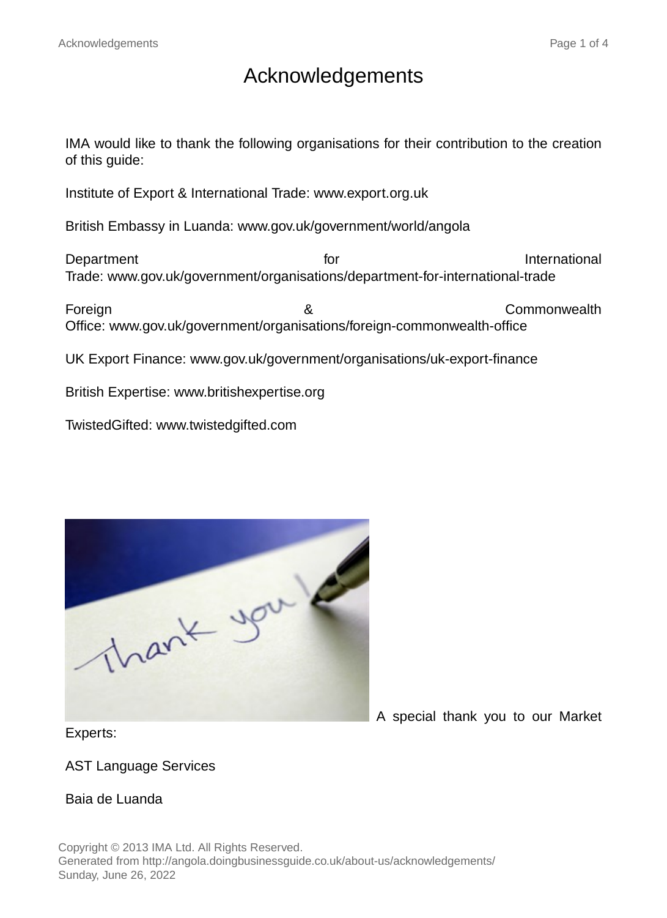# Acknowledgements

IMA would like to thank the following organisations for their contribution to the creation of this guide:

Institute of Export & International Trade: www.export.org.uk

British Embassy in Luanda: www.gov.uk/government/world/angola

Department **for** International **contract of International** Trade: www.gov.uk/government/organisations/department-for-international-trade

Foreign & Commonwealth Office: www.gov.uk/government/organisations/foreign-commonwealth-office

UK Export Finance: www.gov.uk/government/organisations/uk-export-finance

British Expertise: www.britishexpertise.org

TwistedGifted: www.twistedgifted.com

thank you a

A special thank you to our Market

Experts:

AST Language Services

#### Baia de Luanda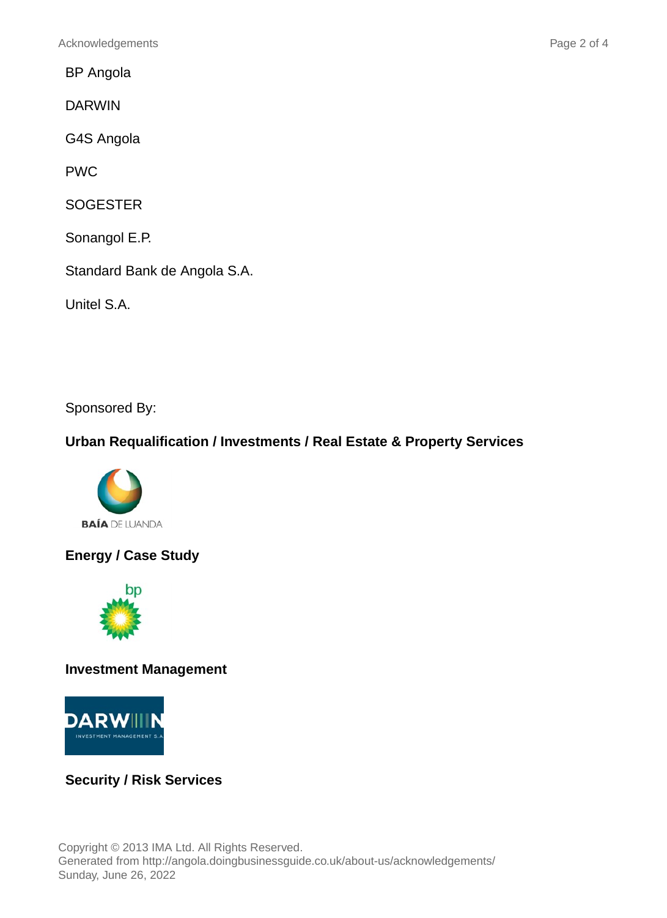BP Angola

DARWIN

G4S Angola

PWC

**SOGESTER** 

Sonangol E.P.

Standard Bank de Angola S.A.

Unitel S.A.

Sponsored By:

#### **Urban Requalification / Investments / Real Estate & Property Services**



**Energy / Case Study**



**Investment Management**



## **Security / Risk Services**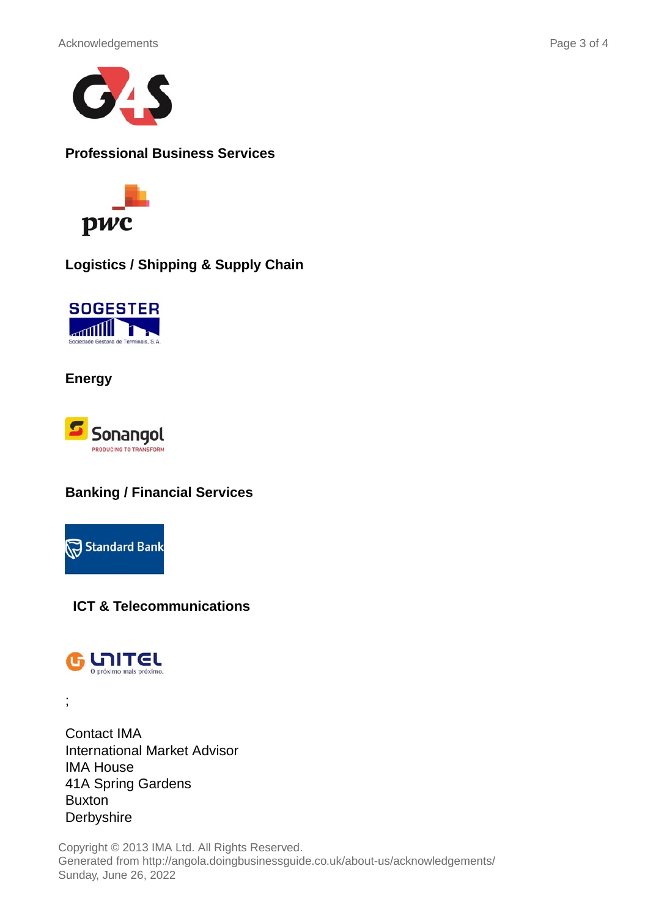



**Professional Business Services**



**Logistics / Shipping & Supply Chain**



**Energy**



### **Banking / Financial Services**



**ICT & Telecommunications**



;

Contact IMA International Market Advisor IMA House 41A Spring Gardens Buxton **Derbyshire** 

Copyright © 2013 IMA Ltd. All Rights Reserved. Generated from http://angola.doingbusinessguide.co.uk/about-us/acknowledgements/ Sunday, June 26, 2022